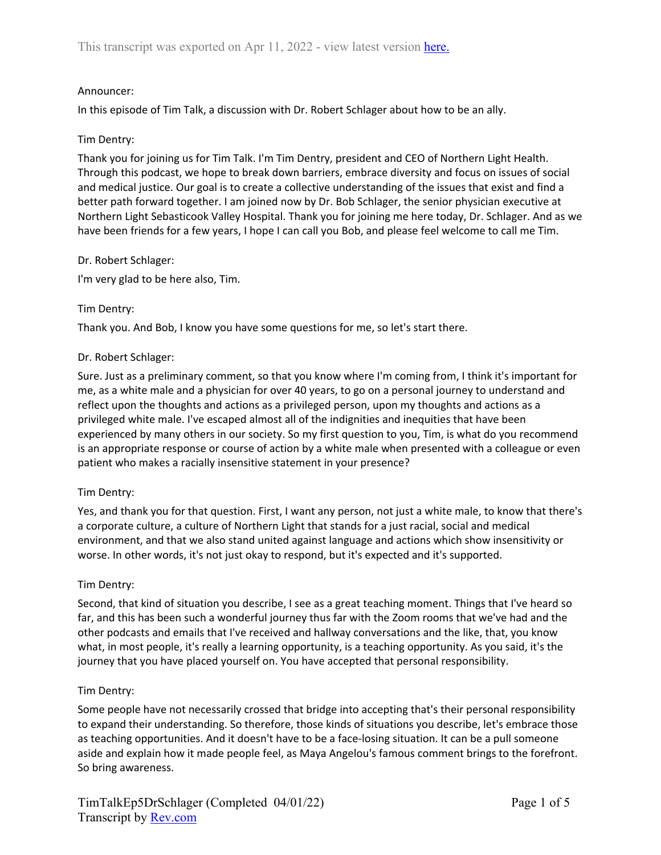# Announcer:

In this episode of Tim Talk, a discussion with Dr. Robert Schlager about how to be an ally.

### Tim Dentry:

Thank you for joining us for Tim Talk. I'm Tim Dentry, president and CEO of Northern Light Health. Through this podcast, we hope to break down barriers, embrace diversity and focus on issues of social and medical justice. Our goal is to create a collective understanding of the issues that exist and find a better path forward together. I am joined now by Dr. Bob Schlager, the senior physician executive at Northern Light Sebasticook Valley Hospital. Thank you for joining me here today, Dr. Schlager. And as we have been friends for a few years, I hope I can call you Bob, and please feel welcome to call me Tim.

## Dr. Robert Schlager:

I'm very glad to be here also, Tim.

## Tim Dentry:

Thank you. And Bob, I know you have some questions for me, so let's start there.

### Dr. Robert Schlager:

Sure. Just as a preliminary comment, so that you know where I'm coming from, I think it's important for me, as a white male and a physician for over 40 years, to go on a personal journey to understand and reflect upon the thoughts and actions as a privileged person, upon my thoughts and actions as a privileged white male. I've escaped almost all of the indignities and inequities that have been experienced by many others in our society. So my first question to you, Tim, is what do you recommend is an appropriate response or course of action by a white male when presented with a colleague or even patient who makes a racially insensitive statement in your presence?

### Tim Dentry:

Yes, and thank you for that question. First, I want any person, not just a white male, to know that there's a corporate culture, a culture of Northern Light that stands for a just racial, social and medical environment, and that we also stand united against language and actions which show insensitivity or worse. In other words, it's not just okay to respond, but it's expected and it's supported.

### Tim Dentry:

Second, that kind of situation you describe, I see as a great teaching moment. Things that I've heard so far, and this has been such a wonderful journey thus far with the Zoom rooms that we've had and the other podcasts and emails that I've received and hallway conversations and the like, that, you know what, in most people, it's really a learning opportunity, is a teaching opportunity. As you said, it's the journey that you have placed yourself on. You have accepted that personal responsibility.

### Tim Dentry:

Some people have not necessarily crossed that bridge into accepting that's their personal responsibility to expand their understanding. So therefore, those kinds of situations you describe, let's embrace those as teaching opportunities. And it doesn't have to be a face-losing situation. It can be a pull someone aside and explain how it made people feel, as Maya Angelou's famous comment brings to the forefront. So bring awareness.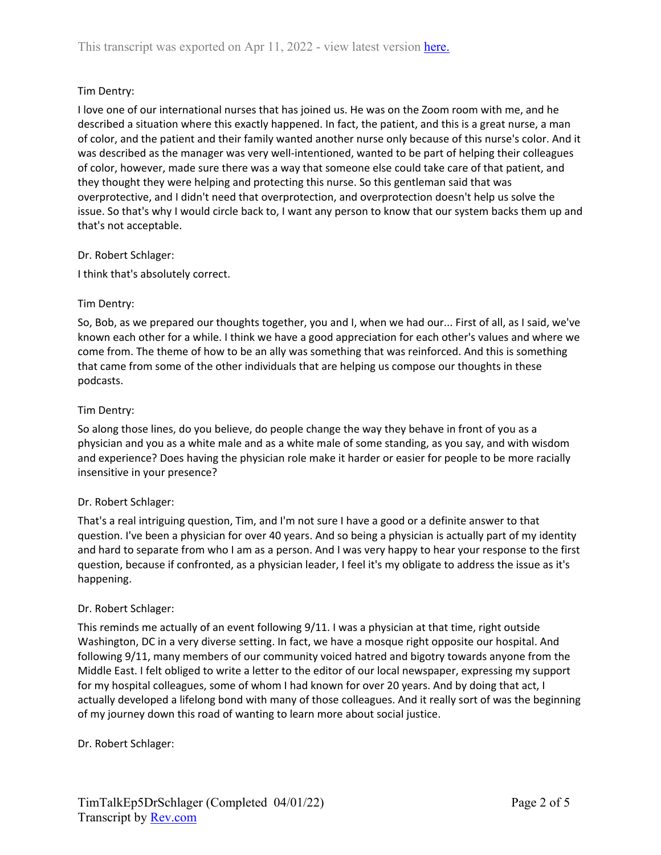# Tim Dentry:

I love one of our international nurses that has joined us. He was on the Zoom room with me, and he described a situation where this exactly happened. In fact, the patient, and this is a great nurse, a man of color, and the patient and their family wanted another nurse only because of this nurse's color. And it was described as the manager was very well-intentioned, wanted to be part of helping their colleagues of color, however, made sure there was a way that someone else could take care of that patient, and they thought they were helping and protecting this nurse. So this gentleman said that was overprotective, and I didn't need that overprotection, and overprotection doesn't help us solve the issue. So that's why I would circle back to, I want any person to know that our system backs them up and that's not acceptable.

## Dr. Robert Schlager:

I think that's absolutely correct.

## Tim Dentry:

So, Bob, as we prepared our thoughts together, you and I, when we had our... First of all, as I said, we've known each other for a while. I think we have a good appreciation for each other's values and where we come from. The theme of how to be an ally was something that was reinforced. And this is something that came from some of the other individuals that are helping us compose our thoughts in these podcasts.

## Tim Dentry:

So along those lines, do you believe, do people change the way they behave in front of you as a physician and you as a white male and as a white male of some standing, as you say, and with wisdom and experience? Does having the physician role make it harder or easier for people to be more racially insensitive in your presence?

# Dr. Robert Schlager:

That's a real intriguing question, Tim, and I'm not sure I have a good or a definite answer to that question. I've been a physician for over 40 years. And so being a physician is actually part of my identity and hard to separate from who I am as a person. And I was very happy to hear your response to the first question, because if confronted, as a physician leader, I feel it's my obligate to address the issue as it's happening.

# Dr. Robert Schlager:

This reminds me actually of an event following 9/11. I was a physician at that time, right outside Washington, DC in a very diverse setting. In fact, we have a mosque right opposite our hospital. And following 9/11, many members of our community voiced hatred and bigotry towards anyone from the Middle East. I felt obliged to write a letter to the editor of our local newspaper, expressing my support for my hospital colleagues, some of whom I had known for over 20 years. And by doing that act, I actually developed a lifelong bond with many of those colleagues. And it really sort of was the beginning of my journey down this road of wanting to learn more about social justice.

### Dr. Robert Schlager: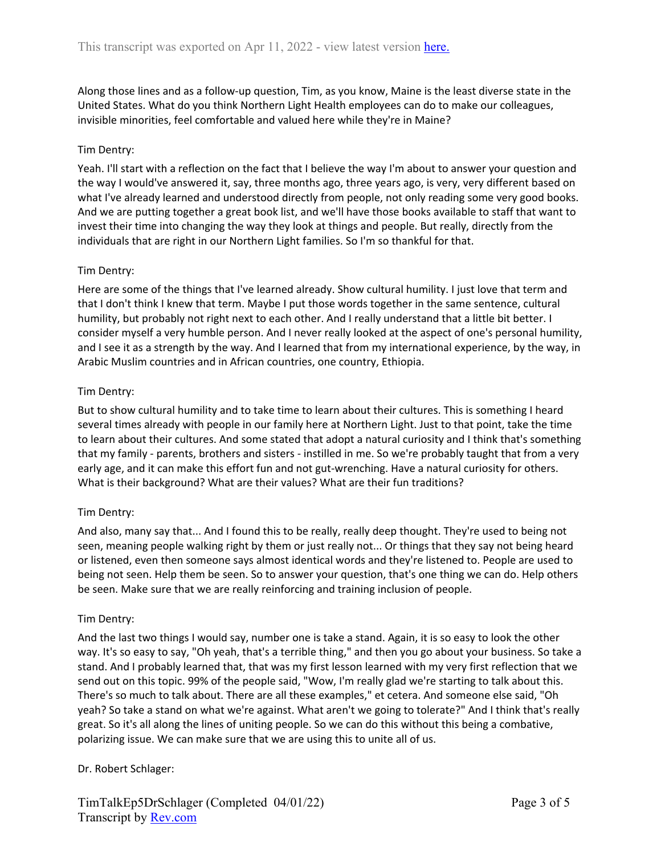Along those lines and as a follow-up question, Tim, as you know, Maine is the least diverse state in the United States. What do you think Northern Light Health employees can do to make our colleagues, invisible minorities, feel comfortable and valued here while they're in Maine?

### Tim Dentry:

Yeah. I'll start with a reflection on the fact that I believe the way I'm about to answer your question and the way I would've answered it, say, three months ago, three years ago, is very, very different based on what I've already learned and understood directly from people, not only reading some very good books. And we are putting together a great book list, and we'll have those books available to staff that want to invest their time into changing the way they look at things and people. But really, directly from the individuals that are right in our Northern Light families. So I'm so thankful for that.

## Tim Dentry:

Here are some of the things that I've learned already. Show cultural humility. I just love that term and that I don't think I knew that term. Maybe I put those words together in the same sentence, cultural humility, but probably not right next to each other. And I really understand that a little bit better. I consider myself a very humble person. And I never really looked at the aspect of one's personal humility, and I see it as a strength by the way. And I learned that from my international experience, by the way, in Arabic Muslim countries and in African countries, one country, Ethiopia.

### Tim Dentry:

But to show cultural humility and to take time to learn about their cultures. This is something I heard several times already with people in our family here at Northern Light. Just to that point, take the time to learn about their cultures. And some stated that adopt a natural curiosity and I think that's something that my family - parents, brothers and sisters - instilled in me. So we're probably taught that from a very early age, and it can make this effort fun and not gut-wrenching. Have a natural curiosity for others. What is their background? What are their values? What are their fun traditions?

### Tim Dentry:

And also, many say that... And I found this to be really, really deep thought. They're used to being not seen, meaning people walking right by them or just really not... Or things that they say not being heard or listened, even then someone says almost identical words and they're listened to. People are used to being not seen. Help them be seen. So to answer your question, that's one thing we can do. Help others be seen. Make sure that we are really reinforcing and training inclusion of people.

### Tim Dentry:

And the last two things I would say, number one is take a stand. Again, it is so easy to look the other way. It's so easy to say, "Oh yeah, that's a terrible thing," and then you go about your business. So take a stand. And I probably learned that, that was my first lesson learned with my very first reflection that we send out on this topic. 99% of the people said, "Wow, I'm really glad we're starting to talk about this. There's so much to talk about. There are all these examples," et cetera. And someone else said, "Oh yeah? So take a stand on what we're against. What aren't we going to tolerate?" And I think that's really great. So it's all along the lines of uniting people. So we can do this without this being a combative, polarizing issue. We can make sure that we are using this to unite all of us.

### Dr. Robert Schlager: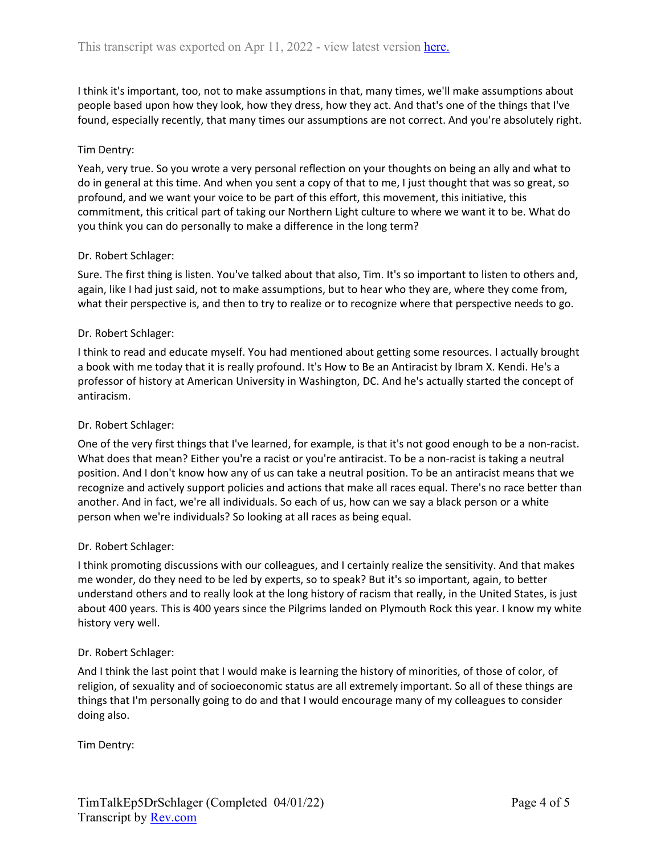I think it's important, too, not to make assumptions in that, many times, we'll make assumptions about people based upon how they look, how they dress, how they act. And that's one of the things that I've found, especially recently, that many times our assumptions are not correct. And you're absolutely right.

### Tim Dentry:

Yeah, very true. So you wrote a very personal reflection on your thoughts on being an ally and what to do in general at this time. And when you sent a copy of that to me, I just thought that was so great, so profound, and we want your voice to be part of this effort, this movement, this initiative, this commitment, this critical part of taking our Northern Light culture to where we want it to be. What do you think you can do personally to make a difference in the long term?

### Dr. Robert Schlager:

Sure. The first thing is listen. You've talked about that also, Tim. It's so important to listen to others and, again, like I had just said, not to make assumptions, but to hear who they are, where they come from, what their perspective is, and then to try to realize or to recognize where that perspective needs to go.

### Dr. Robert Schlager:

I think to read and educate myself. You had mentioned about getting some resources. I actually brought a book with me today that it is really profound. It's How to Be an Antiracist by Ibram X. Kendi. He's a professor of history at American University in Washington, DC. And he's actually started the concept of antiracism.

### Dr. Robert Schlager:

One of the very first things that I've learned, for example, is that it's not good enough to be a non-racist. What does that mean? Either you're a racist or you're antiracist. To be a non-racist is taking a neutral position. And I don't know how any of us can take a neutral position. To be an antiracist means that we recognize and actively support policies and actions that make all races equal. There's no race better than another. And in fact, we're all individuals. So each of us, how can we say a black person or a white person when we're individuals? So looking at all races as being equal.

### Dr. Robert Schlager:

I think promoting discussions with our colleagues, and I certainly realize the sensitivity. And that makes me wonder, do they need to be led by experts, so to speak? But it's so important, again, to better understand others and to really look at the long history of racism that really, in the United States, is just about 400 years. This is 400 years since the Pilgrims landed on Plymouth Rock this year. I know my white history very well.

### Dr. Robert Schlager:

And I think the last point that I would make is learning the history of minorities, of those of color, of religion, of sexuality and of socioeconomic status are all extremely important. So all of these things are things that I'm personally going to do and that I would encourage many of my colleagues to consider doing also.

Tim Dentry: